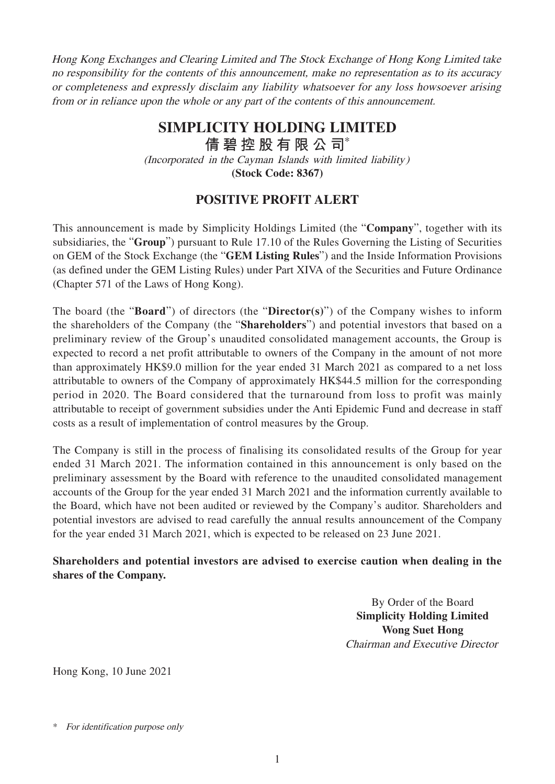Hong Kong Exchanges and Clearing Limited and The Stock Exchange of Hong Kong Limited take no responsibility for the contents of this announcement, make no representation as to its accuracy or completeness and expressly disclaim any liability whatsoever for any loss howsoever arising from or in reliance upon the whole or any part of the contents of this announcement.

## **SIMPLICITY HOLDING LIMITED**

**倩碧控股有限公 司**\*

(Incorporated in the Cayman Islands with limited liability)

**(Stock Code: 8367)**

## **POSITIVE PROFIT ALERT**

This announcement is made by Simplicity Holdings Limited (the "**Company**", together with its subsidiaries, the "**Group**") pursuant to Rule 17.10 of the Rules Governing the Listing of Securities on GEM of the Stock Exchange (the "**GEM Listing Rules**") and the Inside Information Provisions (as defined under the GEM Listing Rules) under Part XIVA of the Securities and Future Ordinance (Chapter 571 of the Laws of Hong Kong).

The board (the "**Board**") of directors (the "**Director(s)**") of the Company wishes to inform the shareholders of the Company (the "**Shareholders**") and potential investors that based on a preliminary review of the Group's unaudited consolidated management accounts, the Group is expected to record a net profit attributable to owners of the Company in the amount of not more than approximately HK\$9.0 million for the year ended 31 March 2021 as compared to a net loss attributable to owners of the Company of approximately HK\$44.5 million for the corresponding period in 2020. The Board considered that the turnaround from loss to profit was mainly attributable to receipt of government subsidies under the Anti Epidemic Fund and decrease in staff costs as a result of implementation of control measures by the Group.

The Company is still in the process of finalising its consolidated results of the Group for year ended 31 March 2021. The information contained in this announcement is only based on the preliminary assessment by the Board with reference to the unaudited consolidated management accounts of the Group for the year ended 31 March 2021 and the information currently available to the Board, which have not been audited or reviewed by the Company's auditor. Shareholders and potential investors are advised to read carefully the annual results announcement of the Company for the year ended 31 March 2021, which is expected to be released on 23 June 2021.

## **Shareholders and potential investors are advised to exercise caution when dealing in the shares of the Company.**

By Order of the Board **Simplicity Holding Limited Wong Suet Hong** Chairman and Executive Director

Hong Kong, 10 June 2021

<sup>\*</sup> For identification purpose only